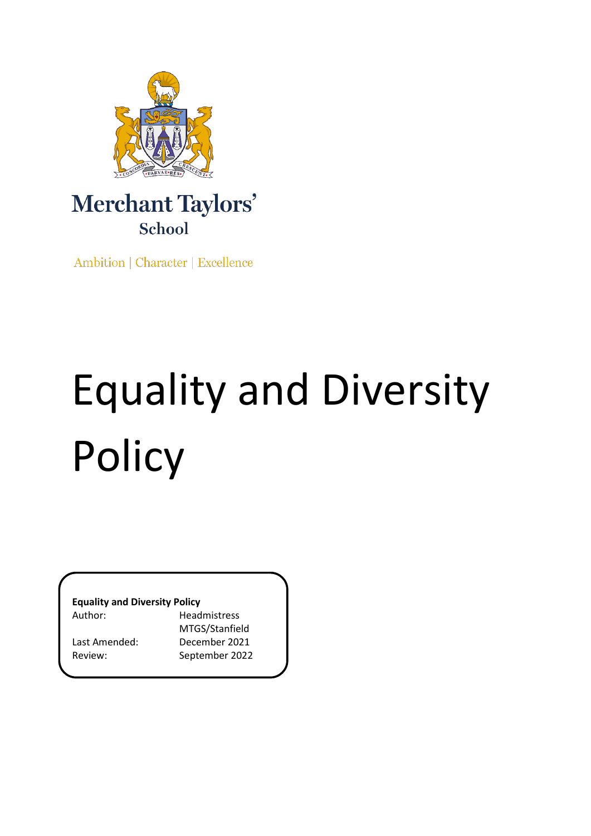

# Merchant Taylors' School

Ambition | Character | Excellence

# Equality and Diversity Policy

**Equality and Diversity Policy**

Author: Headmistress

MTGS/Stanfield Last Amended: December 2021 Review: September 2022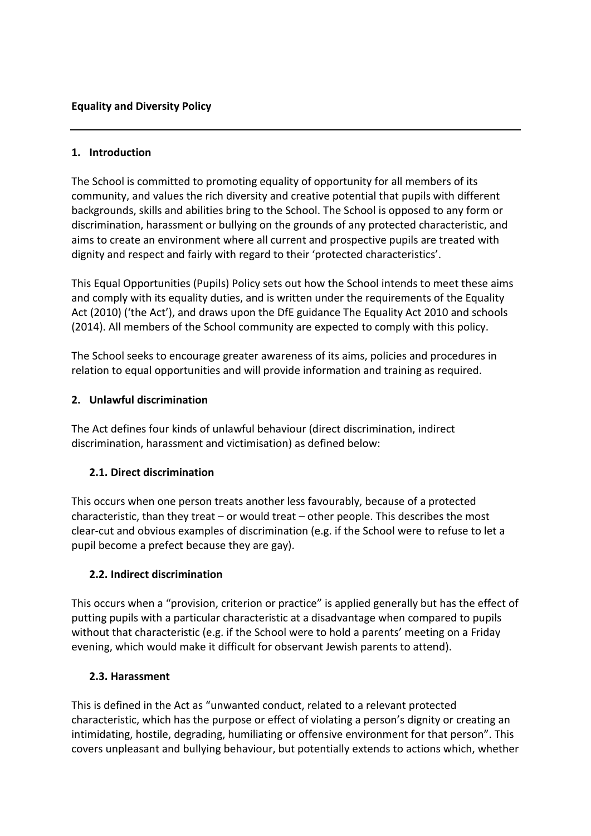#### **1. Introduction**

The School is committed to promoting equality of opportunity for all members of its community, and values the rich diversity and creative potential that pupils with different backgrounds, skills and abilities bring to the School. The School is opposed to any form or discrimination, harassment or bullying on the grounds of any protected characteristic, and aims to create an environment where all current and prospective pupils are treated with dignity and respect and fairly with regard to their 'protected characteristics'.

This Equal Opportunities (Pupils) Policy sets out how the School intends to meet these aims and comply with its equality duties, and is written under the requirements of the Equality Act (2010) ('the Act'), and draws upon the DfE guidance The Equality Act 2010 and schools (2014). All members of the School community are expected to comply with this policy.

The School seeks to encourage greater awareness of its aims, policies and procedures in relation to equal opportunities and will provide information and training as required.

#### **2. Unlawful discrimination**

The Act defines four kinds of unlawful behaviour (direct discrimination, indirect discrimination, harassment and victimisation) as defined below:

#### **2.1. Direct discrimination**

This occurs when one person treats another less favourably, because of a protected characteristic, than they treat – or would treat – other people. This describes the most clear-cut and obvious examples of discrimination (e.g. if the School were to refuse to let a pupil become a prefect because they are gay).

#### **2.2. Indirect discrimination**

This occurs when a "provision, criterion or practice" is applied generally but has the effect of putting pupils with a particular characteristic at a disadvantage when compared to pupils without that characteristic (e.g. if the School were to hold a parents' meeting on a Friday evening, which would make it difficult for observant Jewish parents to attend).

#### **2.3. Harassment**

This is defined in the Act as "unwanted conduct, related to a relevant protected characteristic, which has the purpose or effect of violating a person's dignity or creating an intimidating, hostile, degrading, humiliating or offensive environment for that person". This covers unpleasant and bullying behaviour, but potentially extends to actions which, whether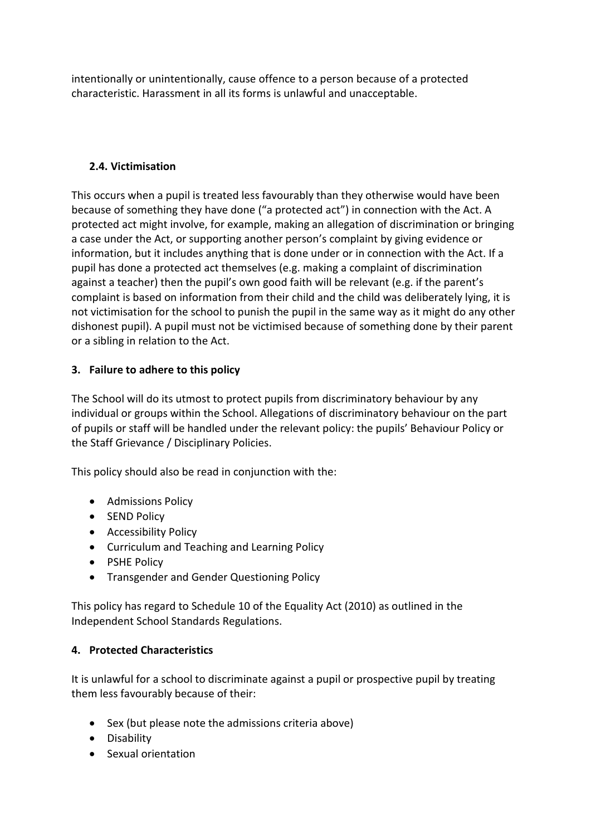intentionally or unintentionally, cause offence to a person because of a protected characteristic. Harassment in all its forms is unlawful and unacceptable.

### **2.4. Victimisation**

This occurs when a pupil is treated less favourably than they otherwise would have been because of something they have done ("a protected act") in connection with the Act. A protected act might involve, for example, making an allegation of discrimination or bringing a case under the Act, or supporting another person's complaint by giving evidence or information, but it includes anything that is done under or in connection with the Act. If a pupil has done a protected act themselves (e.g. making a complaint of discrimination against a teacher) then the pupil's own good faith will be relevant (e.g. if the parent's complaint is based on information from their child and the child was deliberately lying, it is not victimisation for the school to punish the pupil in the same way as it might do any other dishonest pupil). A pupil must not be victimised because of something done by their parent or a sibling in relation to the Act.

#### **3. Failure to adhere to this policy**

The School will do its utmost to protect pupils from discriminatory behaviour by any individual or groups within the School. Allegations of discriminatory behaviour on the part of pupils or staff will be handled under the relevant policy: the pupils' Behaviour Policy or the Staff Grievance / Disciplinary Policies.

This policy should also be read in conjunction with the:

- Admissions Policy
- SEND Policy
- Accessibility Policy
- Curriculum and Teaching and Learning Policy
- PSHE Policy
- Transgender and Gender Questioning Policy

This policy has regard to Schedule 10 of the Equality Act (2010) as outlined in the Independent School Standards Regulations.

# **4. Protected Characteristics**

It is unlawful for a school to discriminate against a pupil or prospective pupil by treating them less favourably because of their:

- Sex (but please note the admissions criteria above)
- Disability
- Sexual orientation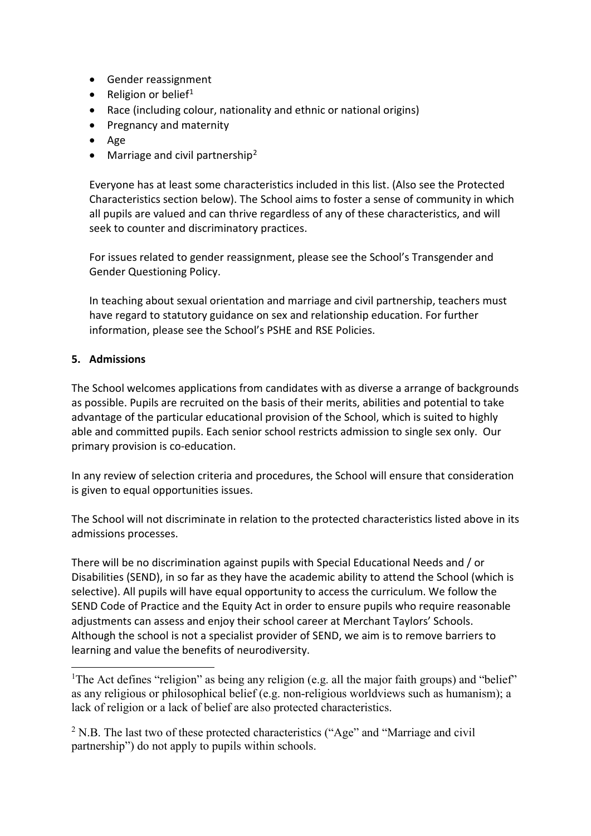- Gender reassignment
- Religion or belief<sup>[1](#page-3-0)</sup>
- Race (including colour, nationality and ethnic or national origins)
- Pregnancy and maternity
- Age
- Marriage and civil partnership<sup>[2](#page-3-1)</sup>

Everyone has at least some characteristics included in this list. (Also see the Protected Characteristics section below). The School aims to foster a sense of community in which all pupils are valued and can thrive regardless of any of these characteristics, and will seek to counter and discriminatory practices.

For issues related to gender reassignment, please see the School's Transgender and Gender Questioning Policy.

In teaching about sexual orientation and marriage and civil partnership, teachers must have regard to statutory guidance on sex and relationship education. For further information, please see the School's PSHE and RSE Policies.

#### **5. Admissions**

The School welcomes applications from candidates with as diverse a arrange of backgrounds as possible. Pupils are recruited on the basis of their merits, abilities and potential to take advantage of the particular educational provision of the School, which is suited to highly able and committed pupils. Each senior school restricts admission to single sex only. Our primary provision is co-education.

In any review of selection criteria and procedures, the School will ensure that consideration is given to equal opportunities issues.

The School will not discriminate in relation to the protected characteristics listed above in its admissions processes.

There will be no discrimination against pupils with Special Educational Needs and / or Disabilities (SEND), in so far as they have the academic ability to attend the School (which is selective). All pupils will have equal opportunity to access the curriculum. We follow the SEND Code of Practice and the Equity Act in order to ensure pupils who require reasonable adjustments can assess and enjoy their school career at Merchant Taylors' Schools. Although the school is not a specialist provider of SEND, we aim is to remove barriers to learning and value the benefits of neurodiversity.

<span id="page-3-0"></span> $\frac{1}{1}$ <sup>1</sup>The Act defines "religion" as being any religion (e.g. all the major faith groups) and "belief" as any religious or philosophical belief (e.g. non-religious worldviews such as humanism); a lack of religion or a lack of belief are also protected characteristics.

<span id="page-3-1"></span><sup>&</sup>lt;sup>2</sup> N.B. The last two of these protected characteristics ("Age" and "Marriage and civil" partnership") do not apply to pupils within schools.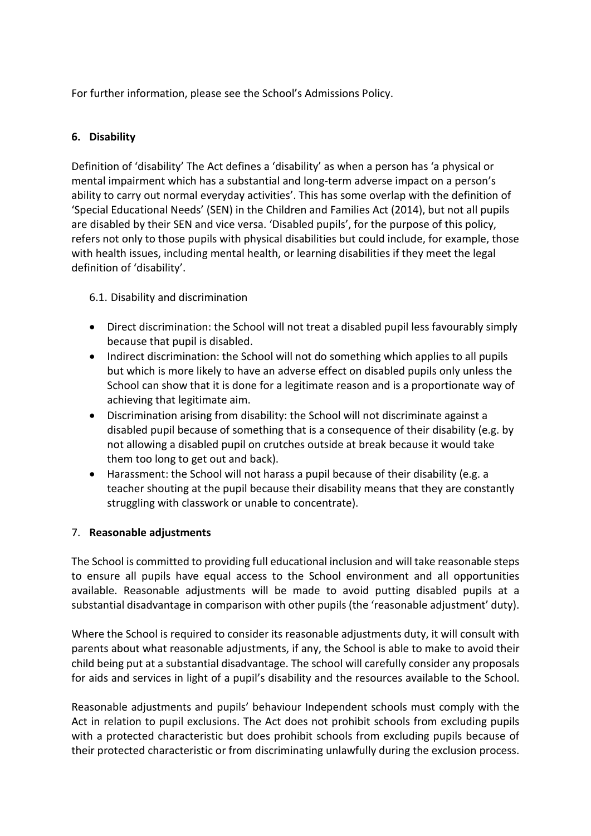For further information, please see the School's Admissions Policy.

# **6. Disability**

Definition of 'disability' The Act defines a 'disability' as when a person has 'a physical or mental impairment which has a substantial and long-term adverse impact on a person's ability to carry out normal everyday activities'. This has some overlap with the definition of 'Special Educational Needs' (SEN) in the Children and Families Act (2014), but not all pupils are disabled by their SEN and vice versa. 'Disabled pupils', for the purpose of this policy, refers not only to those pupils with physical disabilities but could include, for example, those with health issues, including mental health, or learning disabilities if they meet the legal definition of 'disability'.

6.1. Disability and discrimination

- Direct discrimination: the School will not treat a disabled pupil less favourably simply because that pupil is disabled.
- Indirect discrimination: the School will not do something which applies to all pupils but which is more likely to have an adverse effect on disabled pupils only unless the School can show that it is done for a legitimate reason and is a proportionate way of achieving that legitimate aim.
- Discrimination arising from disability: the School will not discriminate against a disabled pupil because of something that is a consequence of their disability (e.g. by not allowing a disabled pupil on crutches outside at break because it would take them too long to get out and back).
- Harassment: the School will not harass a pupil because of their disability (e.g. a teacher shouting at the pupil because their disability means that they are constantly struggling with classwork or unable to concentrate).

#### 7. **Reasonable adjustments**

The School is committed to providing full educational inclusion and will take reasonable steps to ensure all pupils have equal access to the School environment and all opportunities available. Reasonable adjustments will be made to avoid putting disabled pupils at a substantial disadvantage in comparison with other pupils (the 'reasonable adjustment' duty).

Where the School is required to consider its reasonable adjustments duty, it will consult with parents about what reasonable adjustments, if any, the School is able to make to avoid their child being put at a substantial disadvantage. The school will carefully consider any proposals for aids and services in light of a pupil's disability and the resources available to the School.

Reasonable adjustments and pupils' behaviour Independent schools must comply with the Act in relation to pupil exclusions. The Act does not prohibit schools from excluding pupils with a protected characteristic but does prohibit schools from excluding pupils because of their protected characteristic or from discriminating unlawfully during the exclusion process.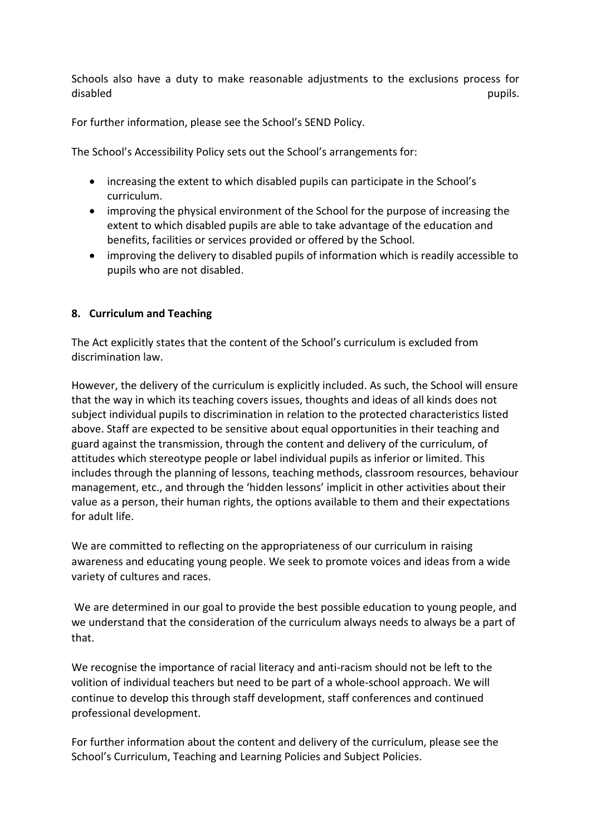Schools also have a duty to make reasonable adjustments to the exclusions process for disabled pupils. The contract of the contract of the contract of the contract of the contract of the contract of the contract of the contract of the contract of the contract of the contract of the contract of the contract

For further information, please see the School's SEND Policy.

The School's Accessibility Policy sets out the School's arrangements for:

- increasing the extent to which disabled pupils can participate in the School's curriculum.
- improving the physical environment of the School for the purpose of increasing the extent to which disabled pupils are able to take advantage of the education and benefits, facilities or services provided or offered by the School.
- improving the delivery to disabled pupils of information which is readily accessible to pupils who are not disabled.

#### **8. Curriculum and Teaching**

The Act explicitly states that the content of the School's curriculum is excluded from discrimination law.

However, the delivery of the curriculum is explicitly included. As such, the School will ensure that the way in which its teaching covers issues, thoughts and ideas of all kinds does not subject individual pupils to discrimination in relation to the protected characteristics listed above. Staff are expected to be sensitive about equal opportunities in their teaching and guard against the transmission, through the content and delivery of the curriculum, of attitudes which stereotype people or label individual pupils as inferior or limited. This includes through the planning of lessons, teaching methods, classroom resources, behaviour management, etc., and through the 'hidden lessons' implicit in other activities about their value as a person, their human rights, the options available to them and their expectations for adult life.

We are committed to reflecting on the appropriateness of our curriculum in raising awareness and educating young people. We seek to promote voices and ideas from a wide variety of cultures and races.

We are determined in our goal to provide the best possible education to young people, and we understand that the consideration of the curriculum always needs to always be a part of that.

We recognise the importance of racial literacy and anti-racism should not be left to the volition of individual teachers but need to be part of a whole-school approach. We will continue to develop this through staff development, staff conferences and continued professional development.

For further information about the content and delivery of the curriculum, please see the School's Curriculum, Teaching and Learning Policies and Subject Policies.